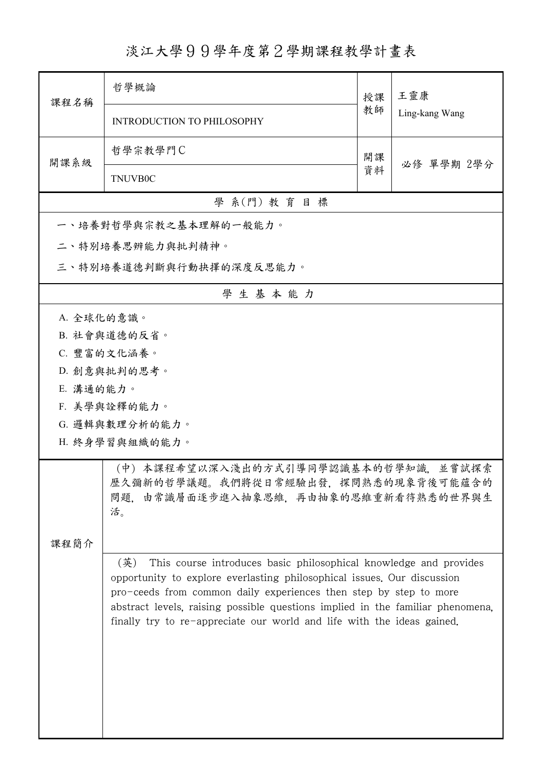## 淡江大學99學年度第2學期課程教學計畫表

| 課程名稱                                                                                                                            | 哲學概論                       | 授課                                                                                                                                                                                                                                                                                                                                                                            | 王靈康<br>Ling-kang Wang |  |  |
|---------------------------------------------------------------------------------------------------------------------------------|----------------------------|-------------------------------------------------------------------------------------------------------------------------------------------------------------------------------------------------------------------------------------------------------------------------------------------------------------------------------------------------------------------------------|-----------------------|--|--|
|                                                                                                                                 | INTRODUCTION TO PHILOSOPHY | 教師                                                                                                                                                                                                                                                                                                                                                                            |                       |  |  |
| 開課系級                                                                                                                            | 哲學宗教學門C                    | 開課                                                                                                                                                                                                                                                                                                                                                                            |                       |  |  |
|                                                                                                                                 | TNUVB0C                    | 資料                                                                                                                                                                                                                                                                                                                                                                            | 必修 單學期 2學分            |  |  |
| 學 系(門) 教育目標                                                                                                                     |                            |                                                                                                                                                                                                                                                                                                                                                                               |                       |  |  |
|                                                                                                                                 | 一、培養對哲學與宗教之基本理解的一般能力。      |                                                                                                                                                                                                                                                                                                                                                                               |                       |  |  |
|                                                                                                                                 | 二、特別培養思辨能力與批判精神。           |                                                                                                                                                                                                                                                                                                                                                                               |                       |  |  |
| 三、特別培養道德判斷與行動抉擇的深度反思能力。                                                                                                         |                            |                                                                                                                                                                                                                                                                                                                                                                               |                       |  |  |
|                                                                                                                                 | 學生基本能力                     |                                                                                                                                                                                                                                                                                                                                                                               |                       |  |  |
| A. 全球化的意識。                                                                                                                      |                            |                                                                                                                                                                                                                                                                                                                                                                               |                       |  |  |
|                                                                                                                                 | B. 社會與道德的反省。               |                                                                                                                                                                                                                                                                                                                                                                               |                       |  |  |
|                                                                                                                                 | C. 豐富的文化涵養。                |                                                                                                                                                                                                                                                                                                                                                                               |                       |  |  |
|                                                                                                                                 | D. 創意與批判的思考。               |                                                                                                                                                                                                                                                                                                                                                                               |                       |  |  |
| E. 溝通的能力。                                                                                                                       |                            |                                                                                                                                                                                                                                                                                                                                                                               |                       |  |  |
|                                                                                                                                 | F. 美學與詮釋的能力。               |                                                                                                                                                                                                                                                                                                                                                                               |                       |  |  |
|                                                                                                                                 | G. 邏輯與數理分析的能力。             |                                                                                                                                                                                                                                                                                                                                                                               |                       |  |  |
| H. 終身學習與組織的能力。                                                                                                                  |                            |                                                                                                                                                                                                                                                                                                                                                                               |                       |  |  |
| (中)本課程希望以深入淺出的方式引導同學認識基本的哲學知識,並嘗試探索<br>歷久彌新的哲學議題。我們將從日常經驗出發,探問熟悉的現象背後可能蘊含的<br>問題,由常識層面逐步進入抽象思維,再由抽象的思維重新看待熟悉的世界與生<br>活。<br>课程简介 |                            |                                                                                                                                                                                                                                                                                                                                                                               |                       |  |  |
|                                                                                                                                 |                            | This course introduces basic philosophical knowledge and provides<br>opportunity to explore everlasting philosophical issues. Our discussion<br>pro-ceeds from common daily experiences then step by step to more<br>abstract levels, raising possible questions implied in the familiar phenomena,<br>finally try to re-appreciate our world and life with the ideas gained. |                       |  |  |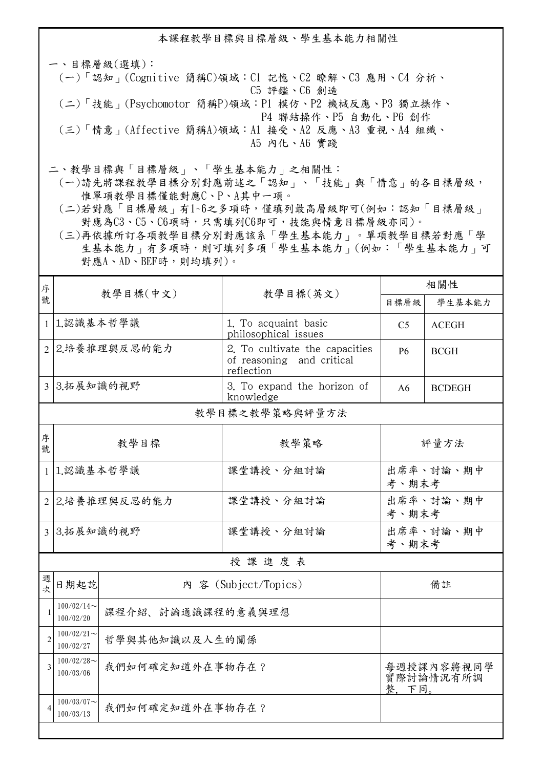本課程教學目標與目標層級、學生基本能力相關性

一、目標層級(選填): (一)「認知」(Cognitive 簡稱C)領域:C1 記憶、C2 瞭解、C3 應用、C4 分析、 C5 評鑑、C6 創造 (二)「技能」(Psychomotor 簡稱P)領域:P1 模仿、P2 機械反應、P3 獨立操作、 P4 聯結操作、P5 自動化、P6 創作 (三)「情意」(Affective 簡稱A)領域:A1 接受、A2 反應、A3 重視、A4 組織、 A5 內化、A6 實踐

二、教學目標與「目標層級」、「學生基本能力」之相關性:

 (一)請先將課程教學目標分別對應前述之「認知」、「技能」與「情意」的各目標層級, 惟單項教學目標僅能對應C、P、A其中一項。

 (二)若對應「目標層級」有1~6之多項時,僅填列最高層級即可(例如:認知「目標層級」 對應為C3、C5、C6項時,只需填列C6即可,技能與情意目標層級亦同)。

 (三)再依據所訂各項教學目標分別對應該系「學生基本能力」。單項教學目標若對應「學 生基本能力」有多項時,則可填列多項「學生基本能力」(例如:「學生基本能力」可 對應A、AD、BEF時,則均填列)。

| 序              | 教學目標(中文)                                      |                   | 教學目標(英文)                                                                  | 相關性                |               |  |  |
|----------------|-----------------------------------------------|-------------------|---------------------------------------------------------------------------|--------------------|---------------|--|--|
| 號              |                                               |                   |                                                                           | 目標層級               | 學生基本能力        |  |  |
| $\mathbf{1}$   | 1.認識基本哲學議                                     |                   | 1. To acquaint basic<br>philosophical issues                              | C <sub>5</sub>     | <b>ACEGH</b>  |  |  |
|                | 2 2.培養推理與反思的能力                                |                   | 2. To cultivate the capacities<br>of reasoning and critical<br>reflection | <b>P6</b>          | <b>BCGH</b>   |  |  |
|                | 3 3.拓展知識的視野                                   |                   | 3. To expand the horizon of<br>knowledge                                  | A6                 | <b>BCDEGH</b> |  |  |
|                | 教學目標之教學策略與評量方法                                |                   |                                                                           |                    |               |  |  |
| 序<br>號         |                                               | 教學目標              | 教學策略                                                                      | 評量方法               |               |  |  |
|                | 1 1.認識基本哲學議                                   |                   | 課堂講授、分組討論                                                                 | 出席率、討論、期中<br>考、期末考 |               |  |  |
|                | 2 2.培養推理與反思的能力                                |                   | 課堂講授、分組討論                                                                 | 出席率、討論、期中<br>考、期末考 |               |  |  |
|                | 3 3.拓展知識的視野                                   |                   | 課堂講授、分組討論                                                                 | 出席率、討論、期中<br>考、期末考 |               |  |  |
|                | 授課進度表                                         |                   |                                                                           |                    |               |  |  |
| 週<br>次         | 日期起訖                                          |                   | 內 容 (Subject/Topics)                                                      | 備註                 |               |  |  |
| 1              | $100/02/14$ ~<br>100/02/20                    | 課程介紹、討論通識課程的意義與理想 |                                                                           |                    |               |  |  |
| $\overline{2}$ | $100/02/21$ ~<br>哲學與其他知識以及人生的關係<br>100/02/27  |                   |                                                                           |                    |               |  |  |
| 3              | $100/02/28$ ~<br>我們如何確定知道外在事物存在?<br>100/03/06 |                   | 每週授課內容將視同學<br>實際討論情況有所調<br>整, 下同。                                         |                    |               |  |  |
|                | $100/03/07$ ~<br>我們如何確定知道外在事物存在?<br>100/03/13 |                   |                                                                           |                    |               |  |  |
|                |                                               |                   |                                                                           |                    |               |  |  |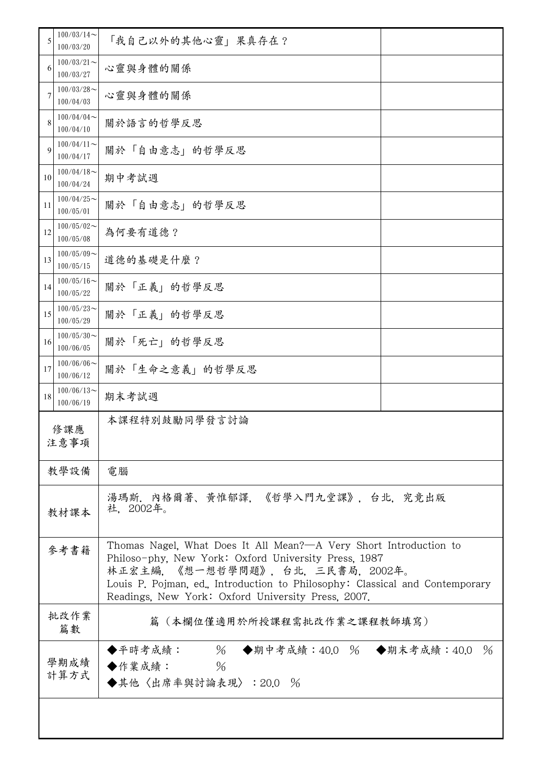| 5  | $100/03/14$ ~<br>100/03/20 | 「我自己以外的其他心靈」果真存在?                                                                                                                                                                                                                                                                                 |      |  |
|----|----------------------------|---------------------------------------------------------------------------------------------------------------------------------------------------------------------------------------------------------------------------------------------------------------------------------------------------|------|--|
| 6  | $100/03/21$ ~<br>100/03/27 | 心靈與身體的關係                                                                                                                                                                                                                                                                                          |      |  |
| 7  | $100/03/28$ ~<br>100/04/03 | 心靈與身體的關係                                                                                                                                                                                                                                                                                          |      |  |
| 8  | $100/04/04$ ~<br>100/04/10 | 關於語言的哲學反思                                                                                                                                                                                                                                                                                         |      |  |
| 9  | $100/04/11$ ~<br>100/04/17 | 關於「自由意志」的哲學反思                                                                                                                                                                                                                                                                                     |      |  |
| 10 | $100/04/18$ ~<br>100/04/24 | 期中考試週                                                                                                                                                                                                                                                                                             |      |  |
| 11 | $100/04/25$ ~<br>100/05/01 | 關於「自由意志」的哲學反思                                                                                                                                                                                                                                                                                     |      |  |
| 12 | $100/05/02$ ~<br>100/05/08 | 為何要有道德?                                                                                                                                                                                                                                                                                           |      |  |
| 13 | $100/05/09$ ~<br>100/05/15 | 道德的基礎是什麼?                                                                                                                                                                                                                                                                                         |      |  |
| 14 | $100/05/16$ ~<br>100/05/22 | 關於「正義」的哲學反思                                                                                                                                                                                                                                                                                       |      |  |
| 15 | $100/05/23$ ~<br>100/05/29 | 關於「正義」的哲學反思                                                                                                                                                                                                                                                                                       |      |  |
| 16 | $100/05/30$ ~<br>100/06/05 | 關於「死亡」的哲學反思                                                                                                                                                                                                                                                                                       |      |  |
| 17 | 100/06/06<br>100/06/12     | 關於「生命之意義」的哲學反思                                                                                                                                                                                                                                                                                    |      |  |
| 18 | $100/06/13$ ~<br>100/06/19 | 期末考試週                                                                                                                                                                                                                                                                                             |      |  |
|    | 修課應<br>注意事項                | 本課程特別鼓勵同學發言討論                                                                                                                                                                                                                                                                                     |      |  |
|    | 教學設備                       | 電腦                                                                                                                                                                                                                                                                                                |      |  |
|    | 教材課本                       | 湯瑪斯.內格爾著、黃惟郁譯,《哲學入門九堂課》,台北,究竟出版<br>社,2002年。                                                                                                                                                                                                                                                       |      |  |
|    | 參考書籍                       | Thomas Nagel, What Does It All Mean?—A Very Short Introduction to<br>Philoso-phy. New York: Oxford University Press, 1987<br>林正宏主編,《想一想哲學問題》,台北,三民書局,2002年。<br>Louis P. Pojman, ed., Introduction to Philosophy: Classical and Contemporary<br>Readings, New York: Oxford University Press, 2007. |      |  |
|    | 批改作業<br>篇數                 | 篇(本欄位僅適用於所授課程需批改作業之課程教師填寫)                                                                                                                                                                                                                                                                        |      |  |
|    | 學期成績<br>計算方式               | ◆平時考成績: 96 ◆期中考成績:40.0 % ◆期末考成績:40.0<br>$\%$<br>◆作業成績:<br>◆其他〈出席率與討論表現〉: 20.0 %                                                                                                                                                                                                                   | $\%$ |  |
|    |                            |                                                                                                                                                                                                                                                                                                   |      |  |